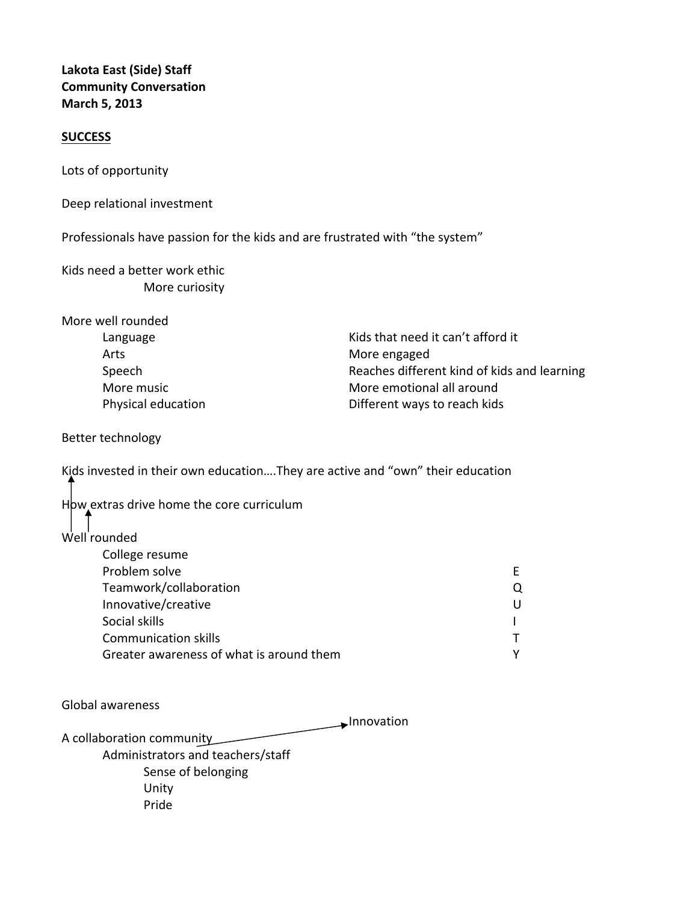## **Lakota East (Side) Staff Community Conversation March 5, 2013**

## **SUCCESS**

Lots of opportunity

Deep relational investment

Professionals have passion for the kids and are frustrated with "the system"

Kids need a better work ethic More curiosity

| Kids that need it can't afford it           |
|---------------------------------------------|
| More engaged                                |
| Reaches different kind of kids and learning |
| More emotional all around                   |
| Different ways to reach kids                |
|                                             |

Better technology

Kids invested in their own education….They are active and "own" their education

How extras drive home the core curriculum

## Well rounded

| College resume                           |   |  |
|------------------------------------------|---|--|
| Problem solve                            |   |  |
| Teamwork/collaboration                   | Ő |  |
| Innovative/creative                      | U |  |
| Social skills                            |   |  |
| <b>Communication skills</b>              |   |  |
| Greater awareness of what is around them | v |  |
|                                          |   |  |

Global awareness

Innovation

A collaboration community Administrators and teachers/staff Sense of belonging Unity Pride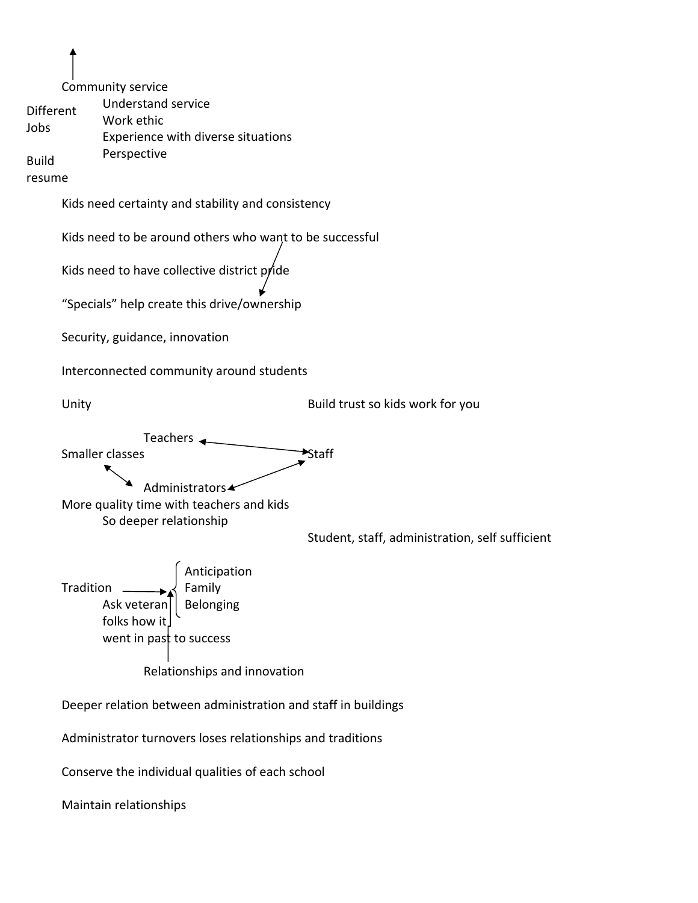Community service Understand service Work ethic Experience with diverse situations Perspective Kids need certainty and stability and consistency Kids need to be around others who want to be successful Kids need to have collective district pride "Specials" help create this drive/ownership Security, guidance, innovation Interconnected community around students Unity **CONFIDENT CONTROLLER SUBSETER SUBSETER** Build trust so kids work for you Teachers  $\leftarrow$ Smaller classes **Smaller** classes Administrators More quality time with teachers and kids So deeper relationship Student, staff, administration, self sufficient Anticipation Tradition  $\longrightarrow$  Family Ask veteran $||$  Belonging folks how it went in past to success Relationships and innovation Deeper relation between administration and staff in buildings Administrator turnovers loses relationships and traditions Conserve the individual qualities of each school Maintain relationships Different Jobs Build resume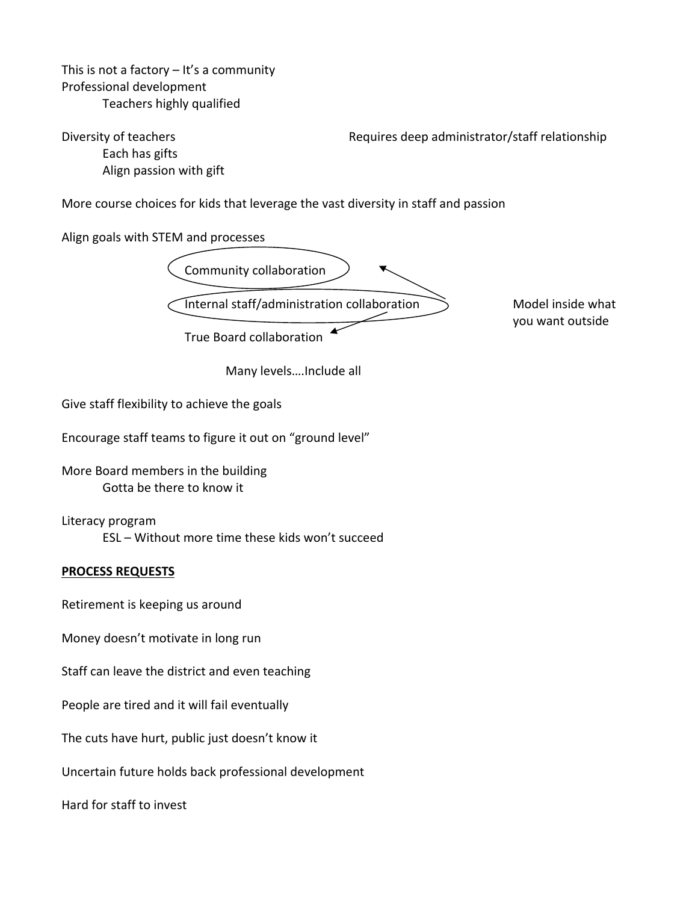This is not a factory  $-$  It's a community Professional development Teachers highly qualified

Each has gifts Align passion with gift

Diversity of teachers *Diversity of teachers*  **Exercise 2018 Requires deep administrator/staff relationship** 

More course choices for kids that leverage the vast diversity in staff and passion

Align goals with STEM and processes



you want outside

Many levels….Include all

Give staff flexibility to achieve the goals

Encourage staff teams to figure it out on "ground level"

More Board members in the building Gotta be there to know it

Literacy program ESL – Without more time these kids won't succeed

## **PROCESS REQUESTS**

Retirement is keeping us around

Money doesn't motivate in long run

Staff can leave the district and even teaching

People are tired and it will fail eventually

The cuts have hurt, public just doesn't know it

Uncertain future holds back professional development

Hard for staff to invest